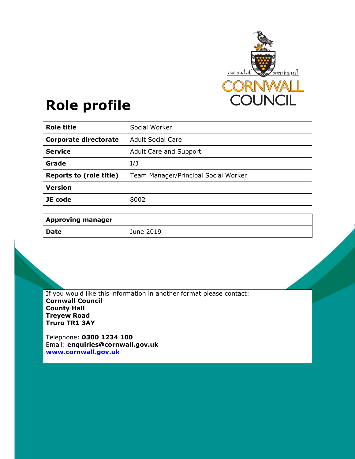

# **Role profile**

| <b>Role title</b>              | Social Worker                        |
|--------------------------------|--------------------------------------|
| <b>Corporate directorate</b>   | <b>Adult Social Care</b>             |
| <b>Service</b>                 | Adult Care and Support               |
| Grade                          | I/J                                  |
| <b>Reports to (role title)</b> | Team Manager/Principal Social Worker |
| <b>Version</b>                 |                                      |
| JE code                        | 8002                                 |

| <b>Approving manager</b> |           |
|--------------------------|-----------|
| <b>Date</b>              | June 2019 |

If you would like this information in another format please contact: **Cornwall Council County Hall Treyew Road Truro TR1 3AY** 

Telephone: **0300 1234 100** Email: **enquiries@cornwall.gov.uk www.cornwall.gov.uk**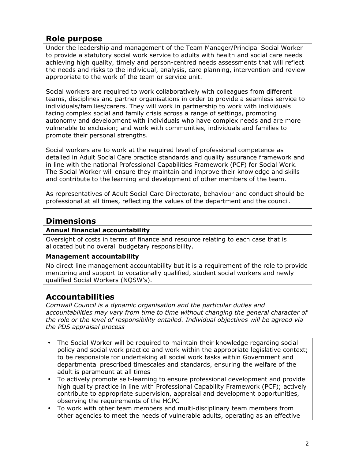# **Role purpose**

Under the leadership and management of the Team Manager/Principal Social Worker to provide a statutory social work service to adults with health and social care needs achieving high quality, timely and person-centred needs assessments that will reflect the needs and risks to the individual, analysis, care planning, intervention and review appropriate to the work of the team or service unit.

Social workers are required to work collaboratively with colleagues from different teams, disciplines and partner organisations in order to provide a seamless service to individuals/families/carers. They will work in partnership to work with individuals facing complex social and family crisis across a range of settings, promoting autonomy and development with individuals who have complex needs and are more vulnerable to exclusion; and work with communities, individuals and families to promote their personal strengths.

Social workers are to work at the required level of professional competence as detailed in Adult Social Care practice standards and quality assurance framework and in line with the national Professional Capabilities Framework (PCF) for Social Work. The Social Worker will ensure they maintain and improve their knowledge and skills and contribute to the learning and development of other members of the team.

As representatives of Adult Social Care Directorate, behaviour and conduct should be professional at all times, reflecting the values of the department and the council.

# **Dimensions**

#### **Annual financial accountability**

Oversight of costs in terms of finance and resource relating to each case that is allocated but no overall budgetary responsibility.

#### **Management accountability**

No direct line management accountability but it is a requirement of the role to provide mentoring and support to vocationally qualified, student social workers and newly qualified Social Workers (NQSW's).

## **Accountabilities**

*Cornwall Council is a dynamic organisation and the particular duties and accountabilities may vary from time to time without changing the general character of the role or the level of responsibility entailed. Individual objectives will be agreed via the PDS appraisal process* 

- The Social Worker will be required to maintain their knowledge regarding social policy and social work practice and work within the appropriate legislative context; to be responsible for undertaking all social work tasks within Government and departmental prescribed timescales and standards, ensuring the welfare of the adult is paramount at all times
- To actively promote self-learning to ensure professional development and provide high quality practice in line with Professional Capability Framework (PCF); actively contribute to appropriate supervision, appraisal and development opportunities, observing the requirements of the HCPC
- To work with other team members and multi-disciplinary team members from other agencies to meet the needs of vulnerable adults, operating as an effective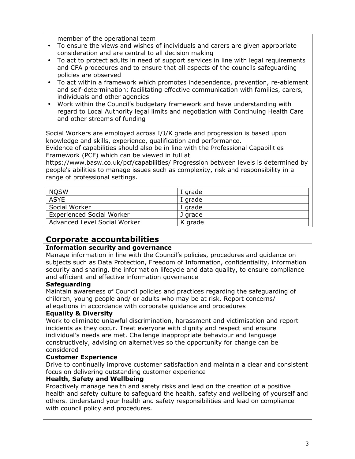member of the operational team

- To ensure the views and wishes of individuals and carers are given appropriate consideration and are central to all decision making
- To act to protect adults in need of support services in line with legal requirements and CFA procedures and to ensure that all aspects of the councils safeguarding policies are observed
- To act within a framework which promotes independence, prevention, re-ablement and self-determination; facilitating effective communication with families, carers, individuals and other agencies
- Work within the Council's budgetary framework and have understanding with regard to Local Authority legal limits and negotiation with Continuing Health Care and other streams of funding

Social Workers are employed across I/J/K grade and progression is based upon knowledge and skills, experience, qualification and performance.

Evidence of capabilities should also be in line with the Professional Capabilities Framework (PCF) which can be viewed in full at

https://www.basw.co.uk/pcf/capabilities/ Progression between levels is determined by people's abilities to manage issues such as complexity, risk and responsibility in a range of professional settings.

| <b>NOSW</b>                      | I grade |
|----------------------------------|---------|
| <b>ASYE</b>                      | I grade |
| Social Worker                    | I grade |
| <b>Experienced Social Worker</b> | J grade |
| Advanced Level Social Worker     | K grade |

## **Corporate accountabilities**

#### **Information security and governance**

Manage information in line with the Council's policies, procedures and guidance on subjects such as Data Protection, Freedom of Information, confidentiality, information security and sharing, the information lifecycle and data quality, to ensure compliance and efficient and effective information governance

#### **Safeguarding**

Maintain awareness of Council policies and practices regarding the safeguarding of children, young people and/ or adults who may be at risk. Report concerns/ allegations in accordance with corporate guidance and procedures

#### **Equality & Diversity**

Work to eliminate unlawful discrimination, harassment and victimisation and report incidents as they occur. Treat everyone with dignity and respect and ensure individual's needs are met. Challenge inappropriate behaviour and language constructively, advising on alternatives so the opportunity for change can be considered

#### **Customer Experience**

Drive to continually improve customer satisfaction and maintain a clear and consistent focus on delivering outstanding customer experience

#### **Health, Safety and Wellbeing**

Proactively manage health and safety risks and lead on the creation of a positive health and safety culture to safeguard the health, safety and wellbeing of yourself and others. Understand your health and safety responsibilities and lead on compliance with council policy and procedures.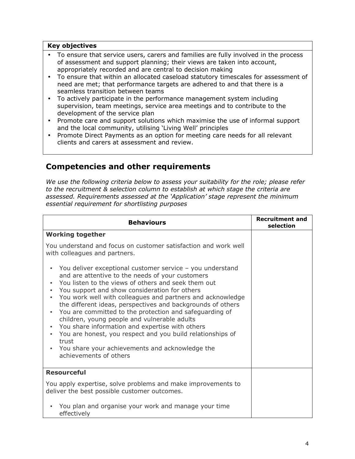#### **Key objectives**

- To ensure that service users, carers and families are fully involved in the process of assessment and support planning; their views are taken into account, appropriately recorded and are central to decision making
- To ensure that within an allocated caseload statutory timescales for assessment of need are met; that performance targets are adhered to and that there is a seamless transition between teams
- To actively participate in the performance management system including supervision, team meetings, service area meetings and to contribute to the development of the service plan
- Promote care and support solutions which maximise the use of informal support and the local community, utilising 'Living Well' principles
- Promote Direct Payments as an option for meeting care needs for all relevant clients and carers at assessment and review.

## **Competencies and other requirements**

*We use the following criteria below to assess your suitability for the role; please refer to the recruitment & selection column to establish at which stage the criteria are assessed. Requirements assessed at the 'Application' stage represent the minimum essential requirement for shortlisting purposes* 

| <b>Behaviours</b>                                                                                                                                                                                                                                                                                                                                                                                                                                                                                                                                                                                                                                                                              | <b>Recruitment and</b><br>selection |
|------------------------------------------------------------------------------------------------------------------------------------------------------------------------------------------------------------------------------------------------------------------------------------------------------------------------------------------------------------------------------------------------------------------------------------------------------------------------------------------------------------------------------------------------------------------------------------------------------------------------------------------------------------------------------------------------|-------------------------------------|
| <b>Working together</b>                                                                                                                                                                                                                                                                                                                                                                                                                                                                                                                                                                                                                                                                        |                                     |
| You understand and focus on customer satisfaction and work well<br>with colleagues and partners.                                                                                                                                                                                                                                                                                                                                                                                                                                                                                                                                                                                               |                                     |
| You deliver exceptional customer service - you understand<br>and are attentive to the needs of your customers<br>You listen to the views of others and seek them out<br>You support and show consideration for others<br>You work well with colleagues and partners and acknowledge<br>the different ideas, perspectives and backgrounds of others<br>You are committed to the protection and safeguarding of<br>children, young people and vulnerable adults<br>You share information and expertise with others<br>$\bullet$<br>You are honest, you respect and you build relationships of<br>trust<br>You share your achievements and acknowledge the<br>$\bullet$<br>achievements of others |                                     |
| <b>Resourceful</b>                                                                                                                                                                                                                                                                                                                                                                                                                                                                                                                                                                                                                                                                             |                                     |
| You apply expertise, solve problems and make improvements to<br>deliver the best possible customer outcomes.                                                                                                                                                                                                                                                                                                                                                                                                                                                                                                                                                                                   |                                     |
| You plan and organise your work and manage your time<br>effectively                                                                                                                                                                                                                                                                                                                                                                                                                                                                                                                                                                                                                            |                                     |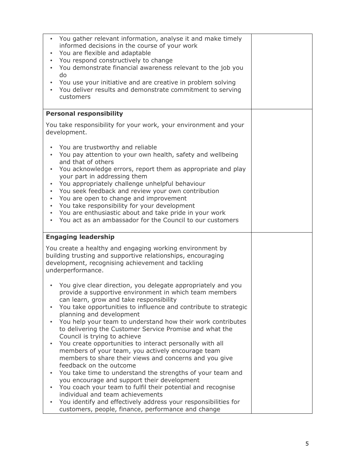| You gather relevant information, analyse it and make timely<br>$\bullet$<br>informed decisions in the course of your work<br>You are flexible and adaptable<br>You respond constructively to change<br>$\bullet$<br>You demonstrate financial awareness relevant to the job you<br>$\bullet$<br>do<br>You use your initiative and are creative in problem solving<br>$\bullet$<br>You deliver results and demonstrate commitment to serving<br>customers                                                                                                                                                                                                                                                                                                                                                                                                                                                                                                                 |  |
|--------------------------------------------------------------------------------------------------------------------------------------------------------------------------------------------------------------------------------------------------------------------------------------------------------------------------------------------------------------------------------------------------------------------------------------------------------------------------------------------------------------------------------------------------------------------------------------------------------------------------------------------------------------------------------------------------------------------------------------------------------------------------------------------------------------------------------------------------------------------------------------------------------------------------------------------------------------------------|--|
| <b>Personal responsibility</b>                                                                                                                                                                                                                                                                                                                                                                                                                                                                                                                                                                                                                                                                                                                                                                                                                                                                                                                                           |  |
| You take responsibility for your work, your environment and your<br>development.                                                                                                                                                                                                                                                                                                                                                                                                                                                                                                                                                                                                                                                                                                                                                                                                                                                                                         |  |
| You are trustworthy and reliable<br>You pay attention to your own health, safety and wellbeing<br>$\bullet$<br>and that of others<br>You acknowledge errors, report them as appropriate and play<br>your part in addressing them<br>You appropriately challenge unhelpful behaviour<br>$\bullet$<br>You seek feedback and review your own contribution<br>$\bullet$<br>You are open to change and improvement<br>$\bullet$<br>You take responsibility for your development<br>$\bullet$<br>You are enthusiastic about and take pride in your work<br>$\bullet$<br>You act as an ambassador for the Council to our customers<br>$\bullet$                                                                                                                                                                                                                                                                                                                                 |  |
| <b>Engaging leadership</b>                                                                                                                                                                                                                                                                                                                                                                                                                                                                                                                                                                                                                                                                                                                                                                                                                                                                                                                                               |  |
| You create a healthy and engaging working environment by<br>building trusting and supportive relationships, encouraging<br>development, recognising achievement and tackling<br>underperformance.                                                                                                                                                                                                                                                                                                                                                                                                                                                                                                                                                                                                                                                                                                                                                                        |  |
| You give clear direction, you delegate appropriately and you<br>provide a supportive environment in which team members<br>can learn, grow and take responsibility<br>You take opportunities to influence and contribute to strategic<br>planning and development<br>You help your team to understand how their work contributes<br>to delivering the Customer Service Promise and what the<br>Council is trying to achieve<br>You create opportunities to interact personally with all<br>members of your team, you actively encourage team<br>members to share their views and concerns and you give<br>feedback on the outcome<br>You take time to understand the strengths of your team and<br>you encourage and support their development<br>You coach your team to fulfil their potential and recognise<br>individual and team achievements<br>You identify and effectively address your responsibilities for<br>customers, people, finance, performance and change |  |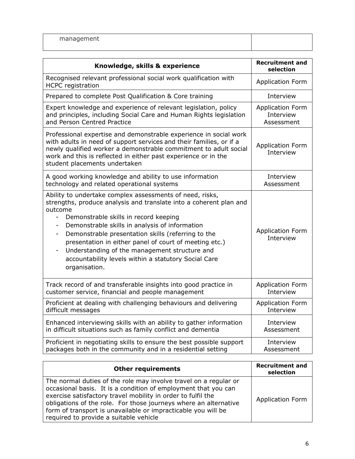| Knowledge, skills & experience                                                                                                                                                                                                                                                                                                                                                                                                                                                                                               | <b>Recruitment and</b><br>selection  |
|------------------------------------------------------------------------------------------------------------------------------------------------------------------------------------------------------------------------------------------------------------------------------------------------------------------------------------------------------------------------------------------------------------------------------------------------------------------------------------------------------------------------------|--------------------------------------|
| Recognised relevant professional social work qualification with<br><b>HCPC</b> registration                                                                                                                                                                                                                                                                                                                                                                                                                                  | <b>Application Form</b>              |
| Prepared to complete Post Qualification & Core training                                                                                                                                                                                                                                                                                                                                                                                                                                                                      | Interview                            |
| Expert knowledge and experience of relevant legislation, policy                                                                                                                                                                                                                                                                                                                                                                                                                                                              | Application Form                     |
| and principles, including Social Care and Human Rights legislation                                                                                                                                                                                                                                                                                                                                                                                                                                                           | Interview                            |
| and Person Centred Practice                                                                                                                                                                                                                                                                                                                                                                                                                                                                                                  | Assessment                           |
| Professional expertise and demonstrable experience in social work<br>with adults in need of support services and their families, or if a<br>newly qualified worker a demonstrable commitment to adult social<br>work and this is reflected in either past experience or in the<br>student placements undertaken                                                                                                                                                                                                              | <b>Application Form</b><br>Interview |
| A good working knowledge and ability to use information                                                                                                                                                                                                                                                                                                                                                                                                                                                                      | Interview                            |
| technology and related operational systems                                                                                                                                                                                                                                                                                                                                                                                                                                                                                   | Assessment                           |
| Ability to undertake complex assessments of need, risks,<br>strengths, produce analysis and translate into a coherent plan and<br>outcome<br>Demonstrable skills in record keeping<br>$\overline{\phantom{0}}$<br>Demonstrable skills in analysis of information<br>$\blacksquare$<br>Demonstrable presentation skills (referring to the<br>presentation in either panel of court of meeting etc.)<br>Understanding of the management structure and<br>accountability levels within a statutory Social Care<br>organisation. | Application Form<br>Interview        |
| Track record of and transferable insights into good practice in                                                                                                                                                                                                                                                                                                                                                                                                                                                              | <b>Application Form</b>              |
| customer service, financial and people management                                                                                                                                                                                                                                                                                                                                                                                                                                                                            | Interview                            |
| Proficient at dealing with challenging behaviours and delivering                                                                                                                                                                                                                                                                                                                                                                                                                                                             | <b>Application Form</b>              |
| difficult messages                                                                                                                                                                                                                                                                                                                                                                                                                                                                                                           | Interview                            |
| Enhanced interviewing skills with an ability to gather information                                                                                                                                                                                                                                                                                                                                                                                                                                                           | Interview                            |
| in difficult situations such as family conflict and dementia                                                                                                                                                                                                                                                                                                                                                                                                                                                                 | Assessment                           |
| Proficient in negotiating skills to ensure the best possible support                                                                                                                                                                                                                                                                                                                                                                                                                                                         | Interview                            |
| packages both in the community and in a residential setting                                                                                                                                                                                                                                                                                                                                                                                                                                                                  | Assessment                           |

| <b>Other requirements</b>                                                                                                                                                                                                                                                                                                                                                         | <b>Recruitment and</b><br>selection |
|-----------------------------------------------------------------------------------------------------------------------------------------------------------------------------------------------------------------------------------------------------------------------------------------------------------------------------------------------------------------------------------|-------------------------------------|
| The normal duties of the role may involve travel on a regular or<br>occasional basis. It is a condition of employment that you can<br>exercise satisfactory travel mobility in order to fulfil the<br>obligations of the role. For those journeys where an alternative<br>form of transport is unavailable or impracticable you will be<br>required to provide a suitable vehicle | <b>Application Form</b>             |